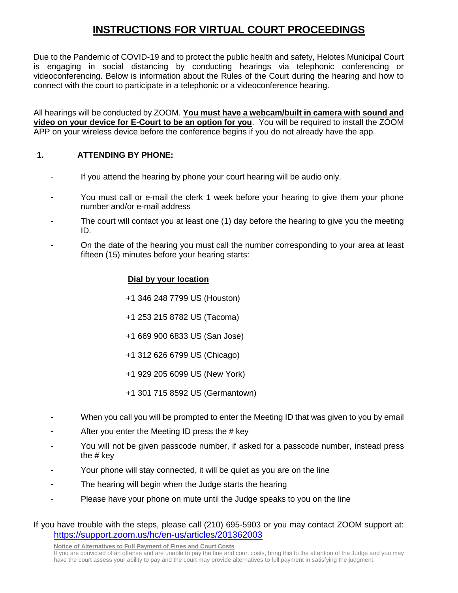# **INSTRUCTIONS FOR VIRTUAL COURT PROCEEDINGS**

Due to the Pandemic of COVID-19 and to protect the public health and safety, Helotes Municipal Court is engaging in social distancing by conducting hearings via telephonic conferencing or videoconferencing. Below is information about the Rules of the Court during the hearing and how to connect with the court to participate in a telephonic or a videoconference hearing.

All hearings will be conducted by ZOOM. **You must have a webcam/built in camera with sound and video on your device for E-Court to be an option for you**. You will be required to install the ZOOM APP on your wireless device before the conference begins if you do not already have the app.

# **1. ATTENDING BY PHONE:**

- If you attend the hearing by phone your court hearing will be audio only.
- You must call or e-mail the clerk 1 week before your hearing to give them your phone number and/or e-mail address
- The court will contact you at least one (1) day before the hearing to give you the meeting ID.
- On the date of the hearing you must call the number corresponding to your area at least fifteen (15) minutes before your hearing starts:

# **Dial by your location**

- +1 346 248 7799 US (Houston)
- +1 253 215 8782 US (Tacoma)
- +1 669 900 6833 US (San Jose)
- +1 312 626 6799 US (Chicago)
- +1 929 205 6099 US (New York)
- +1 301 715 8592 US (Germantown)
- When you call you will be prompted to enter the Meeting ID that was given to you by email
- After you enter the Meeting ID press the # key
- You will not be given passcode number, if asked for a passcode number, instead press the # key
- Your phone will stay connected, it will be quiet as you are on the line
- The hearing will begin when the Judge starts the hearing
- Please have your phone on mute until the Judge speaks to you on the line

# If you have trouble with the steps, please call (210) 695-5903 or you may contact ZOOM support at: <https://support.zoom.us/hc/en-us/articles/201362003>

**Notice of Alternatives to Full Payment of Fines and Court Costs**

If you are convicted of an offense and are unable to pay the fine and court costs, bring this to the attention of the Judge and you may have the court assess your ability to pay and the court may provide alternatives to full payment in satisfying the judgment.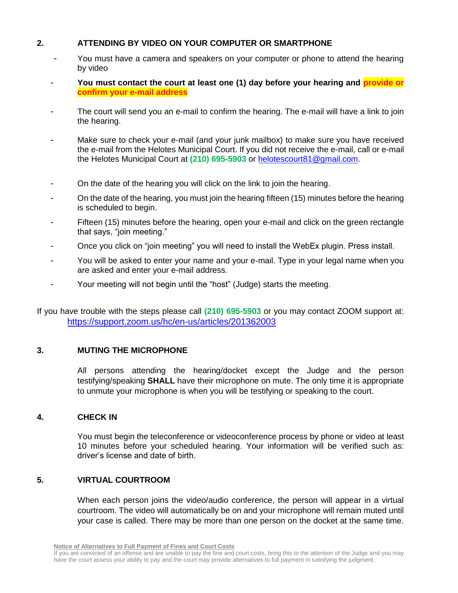# **2. ATTENDING BY VIDEO ON YOUR COMPUTER OR SMARTPHONE**

- You must have a camera and speakers on your computer or phone to attend the hearing by video
- **You must contact the court at least one (1) day before your hearing and provide or confirm your e-mail address**
- The court will send you an e-mail to confirm the hearing. The e-mail will have a link to join the hearing.
- Make sure to check your e-mail (and your junk mailbox) to make sure you have received the e-mail from the Helotes Municipal Court. If you did not receive the e-mail, call or e-mail the Helotes Municipal Court at **(210) 695-5903** or [helotescourt81@gmail.com.](mailto:helotescourt81@gmail.com)
- On the date of the hearing you will click on the link to join the hearing.
- On the date of the hearing, you must join the hearing fifteen (15) minutes before the hearing is scheduled to begin.
- Fifteen (15) minutes before the hearing, open your e-mail and click on the green rectangle that says, "join meeting."
- Once you click on "join meeting" you will need to install the WebEx plugin. Press install.
- You will be asked to enter your name and your e-mail. Type in your legal name when you are asked and enter your e-mail address.
- Your meeting will not begin until the "host" (Judge) starts the meeting.

If you have trouble with the steps please call **(210) 695-5903** or you may contact ZOOM support at: <https://support.zoom.us/hc/en-us/articles/201362003>

## **3. MUTING THE MICROPHONE**

All persons attending the hearing/docket except the Judge and the person testifying/speaking **SHALL** have their microphone on mute. The only time it is appropriate to unmute your microphone is when you will be testifying or speaking to the court.

## **4. CHECK IN**

You must begin the teleconference or videoconference process by phone or video at least 10 minutes before your scheduled hearing. Your information will be verified such as: driver's license and date of birth.

## **5. VIRTUAL COURTROOM**

When each person joins the video/audio conference, the person will appear in a virtual courtroom. The video will automatically be on and your microphone will remain muted until your case is called. There may be more than one person on the docket at the same time.

If you are convicted of an offense and are unable to pay the fine and court costs, bring this to the attention of the Judge and you may have the court assess your ability to pay and the court may provide alternatives to full payment in satisfying the judgment.

**Notice of Alternatives to Full Payment of Fines and Court Costs**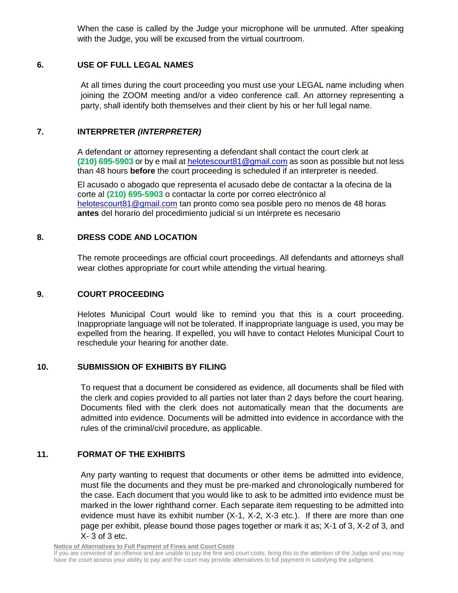When the case is called by the Judge your microphone will be unmuted. After speaking with the Judge, you will be excused from the virtual courtroom.

# **6. USE OF FULL LEGAL NAMES**

At all times during the court proceeding you must use your LEGAL name including when joining the ZOOM meeting and/or a video conference call. An attorney representing a party, shall identify both themselves and their client by his or her full legal name.

# **7. INTERPRETER** *(INTERPRETER)*

A defendant or attorney representing a defendant shall contact the court clerk at **(210) 695-5903** or by e mail a[t helotescourt81@gmail.com](mailto:helotescourt81@gmail.com) as soon as possible but not less than 48 hours **before** the court proceeding is scheduled if an interpreter is needed.

El acusado o abogado que representa el acusado debe de contactar a la ofecina de la corte al **(210) 695-5903** o contactar la corte por correo electrónico al [helotescourt81@gmail.com](mailto:helotescourt81@gmail.com) tan pronto como sea posible pero no menos de 48 horas **antes** del horario del procedimiento judicial si un intérprete es necesario

## **8. DRESS CODE AND LOCATION**

The remote proceedings are official court proceedings. All defendants and attorneys shall wear clothes appropriate for court while attending the virtual hearing.

## **9. COURT PROCEEDING**

Helotes Municipal Court would like to remind you that this is a court proceeding. Inappropriate language will not be tolerated. If inappropriate language is used, you may be expelled from the hearing. If expelled, you will have to contact Helotes Municipal Court to reschedule your hearing for another date.

## **10. SUBMISSION OF EXHIBITS BY FILING**

To request that a document be considered as evidence, all documents shall be filed with the clerk and copies provided to all parties not later than 2 days before the court hearing. Documents filed with the clerk does not automatically mean that the documents are admitted into evidence. Documents will be admitted into evidence in accordance with the rules of the criminal/civil procedure, as applicable.

# **11. FORMAT OF THE EXHIBITS**

Any party wanting to request that documents or other items be admitted into evidence, must file the documents and they must be pre-marked and chronologically numbered for the case. Each document that you would like to ask to be admitted into evidence must be marked in the lower righthand corner. Each separate item requesting to be admitted into evidence must have its exhibit number (X-1, X-2, X-3 etc.). If there are more than one page per exhibit, please bound those pages together or mark it as; X-1 of 3, X-2 of 3, and X- 3 of 3 etc.

**Notice of Alternatives to Full Payment of Fines and Court Costs**